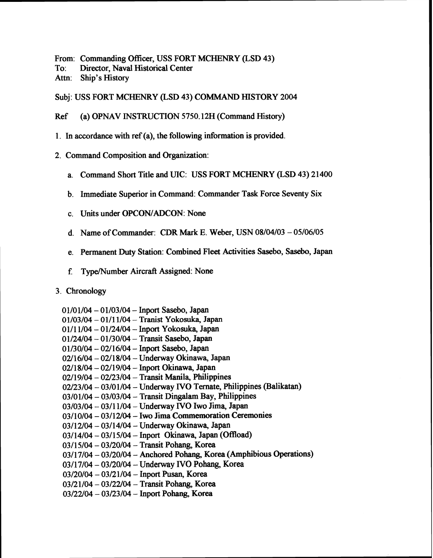From: Commanding Officer, USS FORT MCHENRY (LSD 43)

To: Director, Naval Historical Center

Attn: Ship's History

Subj: USS FORT MCHENRY (LSD 43) COMMAND HISTORY 2004

Ref (a) OPNAV INSTRUCTION 5750.12H (Command History)

- 1. In accordance with ref (a), the following information is provided.
- 2. Command Composition and Organization:
	- a. Command Short Title and UIC: USS FORT MCHENRY (LSD 43) 2 1400
	- b. Immediate Superior in Command: Commander Task Force Seventy Six
	- c. Units under OPCON/ADCON: None
	- d. Name of Commander: CDR Mark E. Weber, USN 08/04/03 05/06/05
	- e. Permanent Duty Station: Combined Fleet Activities Sasebo, Sasebo, Japan
	- f. Type/Number Aircraft Assigned: None

## 3. Chronology

0 1/01/04 - 01/03/04 - Inport Sasebo, Japan 01/03/04 - 0111 1/04 - Tranist Yokosuka, Japan

- 01/11/04 01/24/04 Inport Yokosuka, Japan 01/24/04 - 01/30/04 - Transit Sasebo, Japan
- $01/30/04 02/16/04 -$  Inport Sasebo, Japan
- 02/16/04 02/18/04 Underway Okinawa, Japan
- $02/18/04 02/19/04 -$  Inport Okinawa, Japan
- $02/19/04 02/23/04 -$  Transit Manila, Philippines
- 02/23/04 03/01/04 Underway IVO Ternate, Philippines (Balikatan)
- 03/01/04 03/03/04 Transit **Dingalam** Bay, Philippines
- 03/03/04 0311 1/04 Underway **IVO** Iwo Jima, Japan
- $03/10/04 03/12/04 -$  Iwo Jima Commemoration Ceremonies
- 03/12/04 03/14/04 Underway Okinawa, Japan
- 03/14/04 03/15/04 Inport Okinawa, Japan (Offload)
- 0311 5/04 03/20/04 Transit Pohang, Korea
- 03/17/04 03/20/04 Anchored **Pohang,** Korea (Amphibious Operations)
- 0311 7/04 03/20/04 Underway *NO* Pohang, Korea
- 03/20/04 03/21/04 Inport Pusan, Korea

03/21/04 - 03/22/04 - Transit Pohang, Korea

03/22/04 - 03/23/04 - Inport Pohang, Korea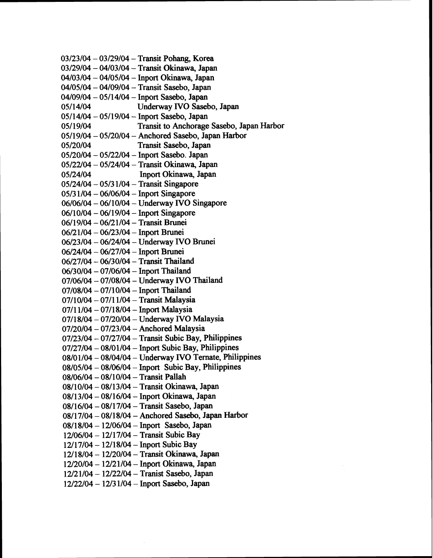$03/23/04 - 03/29/04 -$ Transit Pohang, Korea 03/29/04 - 04/03/04 - Transit Okinawa, Japan 04/03/04 - 04/05/04 - Inport Okinawa, Japan 04/05/04 - 04/09/04 - Transit Sasebo, Japan 04/09/04 - 05/14/04 - Inport Sasebo, Japan<br>05/14/04 Underway IVO Saseb Underway IVO Sasebo, Japan 05/14/04 - 05/19/04 - Inport Sasebo, Japan<br>05/19/04 Transit to Anchorage Transit to Anchorage Sasebo, Japan Harbor 05/19/04 - 05/20/04 - Anchored Sasebo, Japan Harbor<br>05/20/04 - Transit Sasebo, Japan Transit Sasebo, Japan 05/20/04 - 05/22/04 - Inport Sasebo. Japan 05/22/04 - 05/24/04 - Transit Okinawa, Japan 05/24/04 Inport Okinawa, Japan  $05/24/04 - 05/31/04 -$  Transit Singapore  $05/31/04 - 06/06/04 -$  Inport Singapore 06/06/04 - 06/10/04 - Underway IVO Singapore  $06/10/04 - 06/19/04 -$  Inport Singapore 06/19/04 - 06/21/04 - Transit Brunei 0612 1/04 - 06/23/04 - Inport Brunei 06/23/04 - 06/24/04 - Underway IVO Brunei 06/24/04 - 06/27/04 - Inport Brunei 06/27/04 - 06/30/04 - Transit Thailand 06/30/04 - 07/06/04 - Inport Thailand 07/06/04 - 07/08/04 - Underway IVO Thailand  $07/08/04 - 07/10/04 -$  Inport Thailand 07/10/04 - 07/11/04 - Transit Malaysia  $07/11/04 - 07/18/04 -$  Inport Malaysia 07/18/04 - 07/20/04 - Underway IVO Malaysia  $07/20/04 - 07/23/04 -$  Anchored Malaysia  $07/23/04 - 07/27/04 -$  Transit Subic Bay, Philippines  $07/27/04 - 08/01/04 -$  Inport Subic Bay, Philippines 08/01/04 - 08/04/04 - Underway IVO Ternate, Philippines  $08/05/04 - 08/06/04 -$  Inport Subic Bay, Philippines  $08/06/04 - 08/10/04 -$  Transit Pallah 08/10/04 - 08/13/04 - Transit Okinawa, Japan 08/13/04 - 08/16/04 - Inport Okinawa, Japan 08/16/04 - 08/17/04 - Transit Sasebo, Japan 0811 7/04 - 0811 8/04 - Anchored **Sasebo,** Japan Harbor  $08/18/04 - 12/06/04 -$  Inport Sasebo, Japan  $12/06/04 - 12/17/04 -$  Transit Subic Bay 1211 7/04 - 12/18/04 - Inport Subic Bay 1211 8/04 - 12/20/04 - Transit Okinawa, Japan  $12/20/04 - 12/21/04 -$  Inport Okinawa, Japan 1212 1/04 - 12/22/04 - Tranist Sasebo, Japan  $12/22/04 - 12/31/04 -$  Inport Sasebo, Japan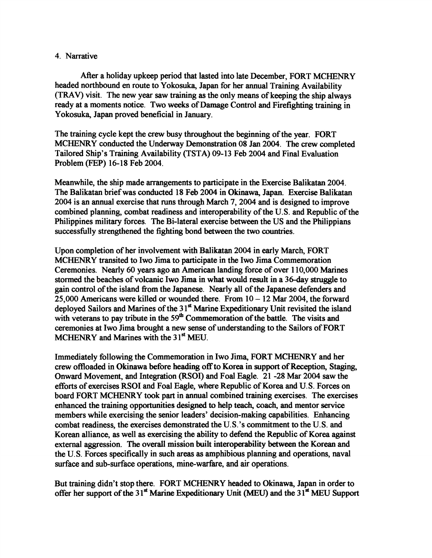## 4. Narrative

After a holiday upkeep period that lasted into late December, FORT MCHENRY headed northbound en route to Yokosuka, Japan for her annual Training Availability **(TRAV)** visit. The new year saw training **as** the only means of keeping the ship always ready at a moments notice. Two weeks of Damage Control and Firefighting training in Yokosuka, Japan proved beneficial in January.

The training cycle kept the crew busy throughout the beginning of the year. FORT MCHENRY conducted the Underway Demonstration 08 Jan 2004. The crew completed Tailored Ship's Training Availability (TSTA) 09-13 Feb 2004 and Final Evaluation **Problem (FEP) 16-18 Feb 2004.** 

Meanwhile, the ship made arrangements to participate in the Exercise Balikatan 2004. The Balikatan brief was conducted 18 Feb 2004 in Okinawa, Japan. Exercise Balikatan 2004 is an annual exercise that rum through March 7,2004 and is designed to improve combined planning, combat readiness and interoperability of the U.S. and Republic of the Philippines military forces. The Bi-lateral exercise between the US and the Philippians successfully strengthened the fighting bond between the two countries.

Upon completion of her involvement with Balikatan 2004 in early March, FORT MCHENRY transited to Iwo Jima to participate in the Iwo Jima Commemoration Ceremonies. Nearly 60 years ago an American landing force of over 1 10,000 Marines stormed the beaches of volcanic Iwo Jima in what would result in a 36-day struggle to gain control of the island ffom the Japanese. Nearly all of the Japanese defenders and  $25,000$  Americans were killed or wounded there. From  $10 - 12$  Mar 2004, the forward deployed Sailors and Marines of the 31<sup>st</sup> Marine Expeditionary Unit revisited the island with veterans to pay tribute in the 59<sup>th</sup> Commemoration of the battle. The visits and ceremonies at Iwo Jima brought a new sense of understanding to the Sailors of FORT MCHENRY and Marines with the 3 1"' **MEU.** 

Immediately following the Commemoration in Iwo Jima, FORT MCHENRY and her crew offloaded in Okinawa before **headihg** off to Korea in support of Reception, **Staging,**  Onward Movement, and Integration (RSOI) and Foal Eagle. 21 -28 Mar 2004 saw the efforts of exercises RSOI and Foal Eagle, where Republic of Korea and U. S. Forces on board FORT MCHENRY took part in annual combined training exercises. The exercises enhanced the training opportunities designed to help teach, coach, and mentor service members while exercising the senior leaders' decision-making capabilities. Enhancing combat readiness, the exercises demonstrated the U. S. 's commitment to the U. S. and Korean alliance, as well **as** exercising the ability to defend the Republic of Korea against external aggression. The overall mission built interoperability between the Korean and the U. S. Forces specifically in such areas as amphibious planning and operations, naval surface and sub-surface operations, mine-warfare, and air operations.

But training didn't stop there. FORT MCHENRY headed to Okinawa, Japan in order to offer her support of the 31<sup>st</sup> Marine Expeditionary Unit (MEU) and the 31<sup>st</sup> MEU Support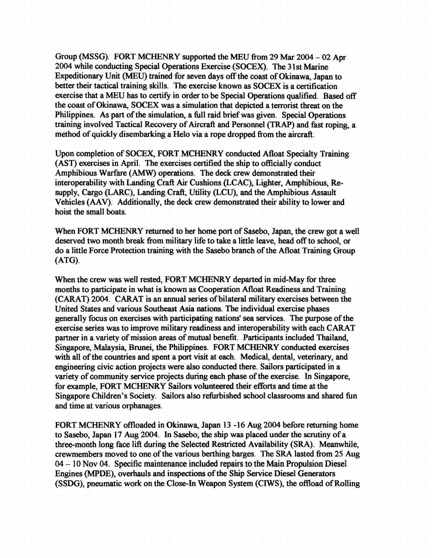Group (MSSG). FORT MCHENRY supported the MEU from 29 Mar 2004 - 02 Apr 2004 while conducting Special Operations Exercise (SOCEX). The **3 1** st Marine Expeditionary Unit **(MEU)** trained for seven days off the **coast** of Okinawa, Japan to better their tactical training skills. The exercise known **as** SOCEX is a certification exercise that a **MEU** has to certify in order to be Special Operations qualified. Based off the coast of Okinawa, SOCEX was a simulation that depicted a terrorist threat on the Philippines. As part of the simulation, a fill raid brief was given. Special Operations training involved Tactical Recovery of Aircraft and Personnel **(TRAP)** and fast roping, a method of quickly disembarking a Helo via a rope dropped fiom the **aircraft.** 

Upon completion of SOCEX, FORT MCHENRY conducted Afloat Specialty Training (AST) exercises in April. The exercises certified the ship to officially conduct Amphibious Warfare **(AMW)** operations. The deck crew demonstrated their interoperability with Landing Craft Air Cushions (LCAC), Lighter, Amphibious, Resupply, Cargo (LARC), Landing Craft, Utility **(LCU),** and the Amphibious Assault Vehicles (AAV). Additionally, the deck crew demonstrated their ability to lower and hoist the small boats.

When FORT MCHENRY returned to her home port of Sasebo, Japan, the crew got a well deserved two month break fiom military life to take a little leave, head off to school, or do a little Force Protection training with the Sasebo branch of the Afloat Training Group (ATG).

When the crew was well rested, FORT MCHENRY departed in mid-May for three months to participate in what is known **as** Cooperation Afloat Readiness and Training (CARAT) 2004. CARAT is an annual series of bilateral military exercises between the United States and various Southeast Asia nations. The individual exercise phases generally focus on exercises with participating nations' sea services. The purpose of the exercise series was to improve military readiness and interoperability with each CARAT partner in a variety of mission areas of mutual benefit. Participants included Thailand, Singapore, Malaysia, Brunei, the Philippines. FORT MCHENRY conducted exercises with all of the countries and spent a port visit at each. Medical, dental, veterinary, and engineering civic action projects were also conducted there. Sailors participated in a variety of community service projects during each phase of the exercise. In Singapore, for example, FORT MCHENRY Sailors volunteered their efforts and time at the Singapore Children's Society. Sailors also refhbished school classrooms and shared fin and time at various orphanages.

FORT MCHENRY offloaded in Okinawa, Japan **13** -16 Aug **2004** before returning home to Sasebo, Japan 17 Aug 2004. In Sasebo, the ship was placed under the scrutiny of a three-month long face lift during the Selected Restricted Availability (SRA). Meanwhile, crewmembers moved to one of the various berthing barges. The SRA lasted fiom 25 Aug <sup>04</sup>- 10 Nov 04. Specific maintenance included repairs to the Main Propulsion Diesel Engines (MPDE), overhauls and inspections of the Ship Service Diesel Generators (SSDG), pneumatic work on the Close-In Weapon System (CIWS), the offload of Rolling